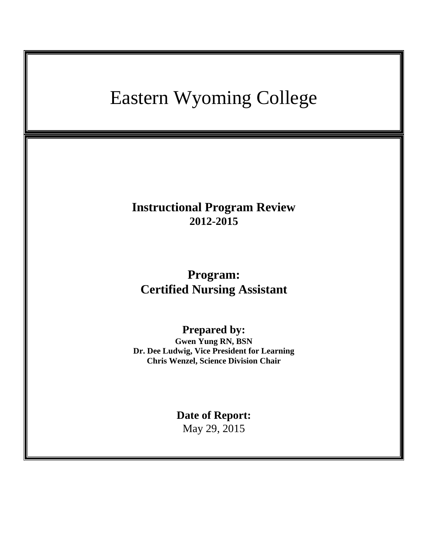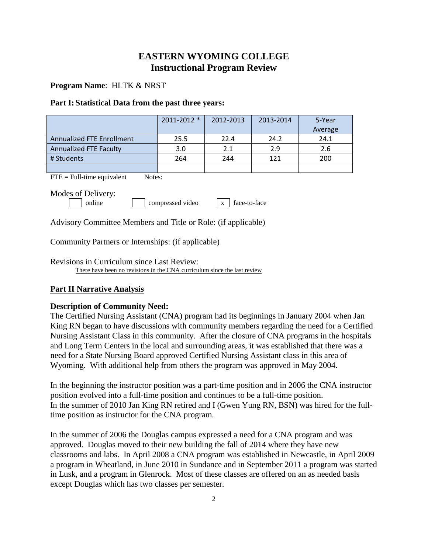# **EASTERN WYOMING COLLEGE Instructional Program Review**

### **Program Name**: HLTK & NRST

#### **Part I: Statistical Data from the past three years:**

|                                  | 2011-2012 * | 2012-2013<br>2013-2014 |      | 5-Year  |
|----------------------------------|-------------|------------------------|------|---------|
|                                  |             |                        |      | Average |
| <b>Annualized FTE Enrollment</b> | 25.5        | 22.4                   | 24.2 | 24.1    |
| <b>Annualized FTE Faculty</b>    | 3.0         | 2.1                    | 2.9  | 2.6     |
| # Students                       | 264         | 244                    | 121  | 200     |
|                                  |             |                        |      |         |

 $\text{FTE} = \text{Full-time equivalent}$  Notes:

Modes of Delivery:

online compressed video x face-to-face

Advisory Committee Members and Title or Role: (if applicable)

Community Partners or Internships: (if applicable)

Revisions in Curriculum since Last Review: There have been no revisions in the CNA curriculum since the last review

### **Part II Narrative Analysis**

### **Description of Community Need:**

The Certified Nursing Assistant (CNA) program had its beginnings in January 2004 when Jan King RN began to have discussions with community members regarding the need for a Certified Nursing Assistant Class in this community. After the closure of CNA programs in the hospitals and Long Term Centers in the local and surrounding areas, it was established that there was a need for a State Nursing Board approved Certified Nursing Assistant class in this area of Wyoming. With additional help from others the program was approved in May 2004.

In the beginning the instructor position was a part-time position and in 2006 the CNA instructor position evolved into a full-time position and continues to be a full-time position. In the summer of 2010 Jan King RN retired and I (Gwen Yung RN, BSN) was hired for the fulltime position as instructor for the CNA program.

In the summer of 2006 the Douglas campus expressed a need for a CNA program and was approved. Douglas moved to their new building the fall of 2014 where they have new classrooms and labs. In April 2008 a CNA program was established in Newcastle, in April 2009 a program in Wheatland, in June 2010 in Sundance and in September 2011 a program was started in Lusk, and a program in Glenrock. Most of these classes are offered on an as needed basis except Douglas which has two classes per semester.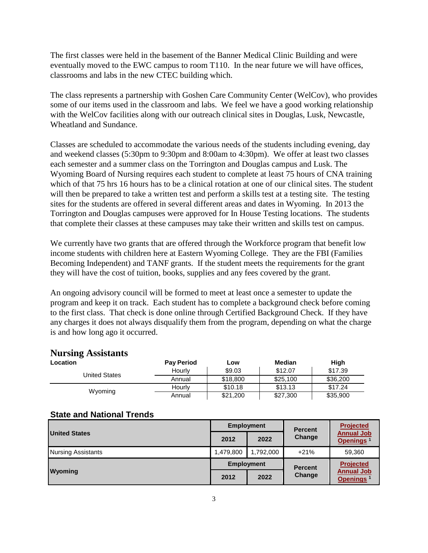The first classes were held in the basement of the Banner Medical Clinic Building and were eventually moved to the EWC campus to room T110. In the near future we will have offices, classrooms and labs in the new CTEC building which.

The class represents a partnership with Goshen Care Community Center (WelCov), who provides some of our items used in the classroom and labs. We feel we have a good working relationship with the WelCov facilities along with our outreach clinical sites in Douglas, Lusk, Newcastle, Wheatland and Sundance.

Classes are scheduled to accommodate the various needs of the students including evening, day and weekend classes (5:30pm to 9:30pm and 8:00am to 4:30pm). We offer at least two classes each semester and a summer class on the Torrington and Douglas campus and Lusk. The Wyoming Board of Nursing requires each student to complete at least 75 hours of CNA training which of that 75 hrs 16 hours has to be a clinical rotation at one of our clinical sites. The student will then be prepared to take a written test and perform a skills test at a testing site. The testing sites for the students are offered in several different areas and dates in Wyoming. In 2013 the Torrington and Douglas campuses were approved for In House Testing locations. The students that complete their classes at these campuses may take their written and skills test on campus.

We currently have two grants that are offered through the Workforce program that benefit low income students with children here at Eastern Wyoming College. They are the FBI (Families Becoming Independent) and TANF grants. If the student meets the requirements for the grant they will have the cost of tuition, books, supplies and any fees covered by the grant.

An ongoing advisory council will be formed to meet at least once a semester to update the program and keep it on track. Each student has to complete a background check before coming to the first class. That check is done online through Certified Background Check. If they have any charges it does not always disqualify them from the program, depending on what the charge is and how long ago it occurred.

## **Nursing Assistants**

| <b>Location</b>      | <b>Pay Period</b> | LOW      | Median   | High     |
|----------------------|-------------------|----------|----------|----------|
| <b>United States</b> | Hourly            | \$9.03   | \$12.07  | \$17.39  |
|                      | Annual            | \$18,800 | \$25,100 | \$36,200 |
| Wyoming              | Hourly            | \$10.18  | \$13.13  | \$17.24  |
|                      | Annual            | \$21,200 | \$27,300 | \$35,900 |

### **State and National Trends**

|                           | <b>Employment</b> |           | <b>Percent</b> | <b>Projected</b>                           |
|---------------------------|-------------------|-----------|----------------|--------------------------------------------|
| <b>United States</b>      | 2012              | 2022      | Change         | <b>Annual Job</b><br>Openings <sup>1</sup> |
| <b>Nursing Assistants</b> | 1,479,800         | 1,792,000 | $+21%$         | 59,360                                     |
| Wyoming                   | <b>Employment</b> |           | <b>Percent</b> | <b>Projected</b>                           |
|                           | 2012              | 2022      | Change         | <b>Annual Job</b><br>Openings <sup>1</sup> |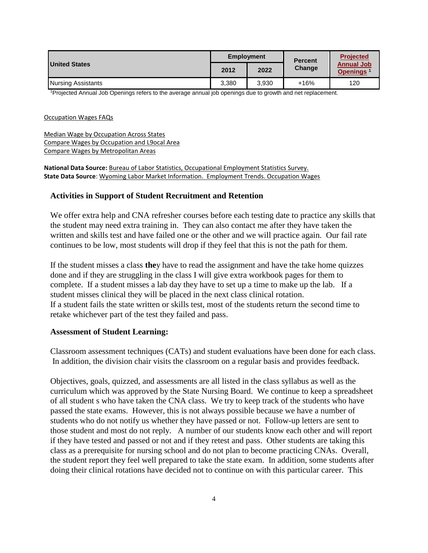|                      | <b>Employment</b> |       | <b>Percent</b> | <b>Projected</b>                           |
|----------------------|-------------------|-------|----------------|--------------------------------------------|
| <b>United States</b> | 2012              | 2022  | Change         | <b>Annual Job</b><br>Openings <sup>1</sup> |
| Nursing Assistants   | 3.380             | 3.930 | $+16%$         | 120                                        |

<sup>1</sup>Projected Annual Job Openings refers to the average annual job openings due to growth and net replacement.

#### Occupation Wages FAQs

Median Wage by Occupation Across States Compare Wages by Occupation and L9ocal Area Compare Wages by Metropolitan Areas

#### **National Data Source:** Bureau of Labor Statistics, Occupational Employment Statistics Survey. **State Data Source**: Wyoming Labor Market Information. Employment Trends. Occupation Wages

### **Activities in Support of Student Recruitment and Retention**

We offer extra help and CNA refresher courses before each testing date to practice any skills that the student may need extra training in. They can also contact me after they have taken the written and skills test and have failed one or the other and we will practice again. Our fail rate continues to be low, most students will drop if they feel that this is not the path for them.

If the student misses a class **the**y have to read the assignment and have the take home quizzes done and if they are struggling in the class I will give extra workbook pages for them to complete. If a student misses a lab day they have to set up a time to make up the lab. If a student misses clinical they will be placed in the next class clinical rotation. If a student fails the state written or skills test, most of the students return the second time to retake whichever part of the test they failed and pass.

#### **Assessment of Student Learning:**

Classroom assessment techniques (CATs) and student evaluations have been done for each class. In addition, the division chair visits the classroom on a regular basis and provides feedback.

Objectives, goals, quizzed, and assessments are all listed in the class syllabus as well as the curriculum which was approved by the State Nursing Board. We continue to keep a spreadsheet of all student s who have taken the CNA class. We try to keep track of the students who have passed the state exams. However, this is not always possible because we have a number of students who do not notify us whether they have passed or not. Follow-up letters are sent to those student and most do not reply. A number of our students know each other and will report if they have tested and passed or not and if they retest and pass. Other students are taking this class as a prerequisite for nursing school and do not plan to become practicing CNAs. Overall, the student report they feel well prepared to take the state exam. In addition, some students after doing their clinical rotations have decided not to continue on with this particular career. This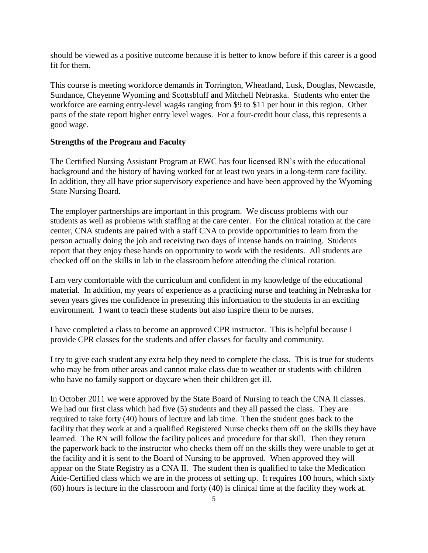should be viewed as a positive outcome because it is better to know before if this career is a good fit for them.

This course is meeting workforce demands in Torrington, Wheatland, Lusk, Douglas, Newcastle, Sundance, Cheyenne Wyoming and Scottsbluff and Mitchell Nebraska. Students who enter the workforce are earning entry-level wag4s ranging from \$9 to \$11 per hour in this region. Other parts of the state report higher entry level wages. For a four-credit hour class, this represents a good wage.

#### **Strengths of the Program and Faculty**

The Certified Nursing Assistant Program at EWC has four licensed RN's with the educational background and the history of having worked for at least two years in a long-term care facility. In addition, they all have prior supervisory experience and have been approved by the Wyoming State Nursing Board.

The employer partnerships are important in this program. We discuss problems with our students as well as problems with staffing at the care center. For the clinical rotation at the care center, CNA students are paired with a staff CNA to provide opportunities to learn from the person actually doing the job and receiving two days of intense hands on training. Students report that they enjoy these hands on opportunity to work with the residents. All students are checked off on the skills in lab in the classroom before attending the clinical rotation.

I am very comfortable with the curriculum and confident in my knowledge of the educational material. In addition, my years of experience as a practicing nurse and teaching in Nebraska for seven years gives me confidence in presenting this information to the students in an exciting environment. I want to teach these students but also inspire them to be nurses.

I have completed a class to become an approved CPR instructor. This is helpful because I provide CPR classes for the students and offer classes for faculty and community.

I try to give each student any extra help they need to complete the class. This is true for students who may be from other areas and cannot make class due to weather or students with children who have no family support or daycare when their children get ill.

In October 2011 we were approved by the State Board of Nursing to teach the CNA II classes. We had our first class which had five (5) students and they all passed the class. They are required to take forty (40) hours of lecture and lab time. Then the student goes back to the facility that they work at and a qualified Registered Nurse checks them off on the skills they have learned. The RN will follow the facility polices and procedure for that skill. Then they return the paperwork back to the instructor who checks them off on the skills they were unable to get at the facility and it is sent to the Board of Nursing to be approved. When approved they will appear on the State Registry as a CNA II. The student then is qualified to take the Medication Aide-Certified class which we are in the process of setting up. It requires 100 hours, which sixty (60) hours is lecture in the classroom and forty (40) is clinical time at the facility they work at.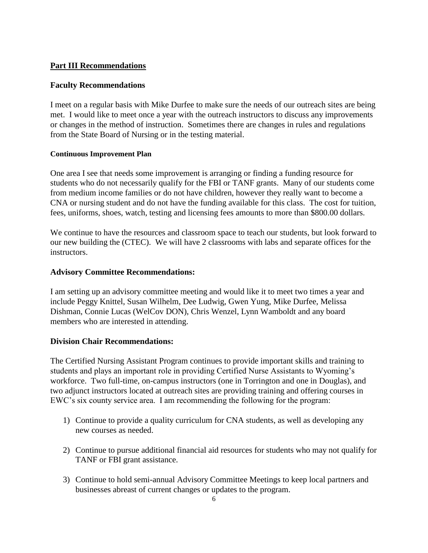# **Part III Recommendations**

### **Faculty Recommendations**

I meet on a regular basis with Mike Durfee to make sure the needs of our outreach sites are being met. I would like to meet once a year with the outreach instructors to discuss any improvements or changes in the method of instruction. Sometimes there are changes in rules and regulations from the State Board of Nursing or in the testing material.

### **Continuous Improvement Plan**

One area I see that needs some improvement is arranging or finding a funding resource for students who do not necessarily qualify for the FBI or TANF grants. Many of our students come from medium income families or do not have children, however they really want to become a CNA or nursing student and do not have the funding available for this class. The cost for tuition, fees, uniforms, shoes, watch, testing and licensing fees amounts to more than \$800.00 dollars.

We continue to have the resources and classroom space to teach our students, but look forward to our new building the (CTEC). We will have 2 classrooms with labs and separate offices for the instructors.

### **Advisory Committee Recommendations:**

I am setting up an advisory committee meeting and would like it to meet two times a year and include Peggy Knittel, Susan Wilhelm, Dee Ludwig, Gwen Yung, Mike Durfee, Melissa Dishman, Connie Lucas (WelCov DON), Chris Wenzel, Lynn Wamboldt and any board members who are interested in attending.

### **Division Chair Recommendations:**

The Certified Nursing Assistant Program continues to provide important skills and training to students and plays an important role in providing Certified Nurse Assistants to Wyoming's workforce. Two full-time, on-campus instructors (one in Torrington and one in Douglas), and two adjunct instructors located at outreach sites are providing training and offering courses in EWC's six county service area. I am recommending the following for the program:

- 1) Continue to provide a quality curriculum for CNA students, as well as developing any new courses as needed.
- 2) Continue to pursue additional financial aid resources for students who may not qualify for TANF or FBI grant assistance.
- 3) Continue to hold semi-annual Advisory Committee Meetings to keep local partners and businesses abreast of current changes or updates to the program.